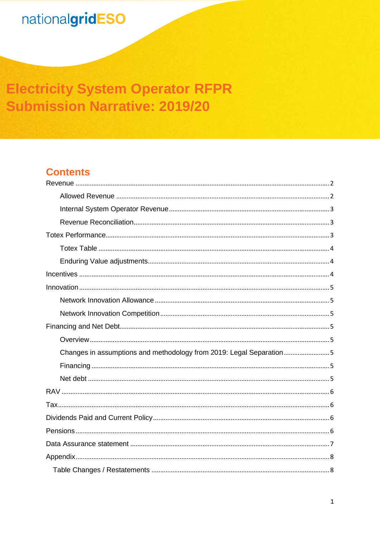## **Electricity System Operator RFPR Submission Narrative: 2019/20**

## **Contents**

| Changes in assumptions and methodology from 2019: Legal Separation5 |
|---------------------------------------------------------------------|
|                                                                     |
|                                                                     |
|                                                                     |
|                                                                     |
|                                                                     |
|                                                                     |
|                                                                     |
|                                                                     |
|                                                                     |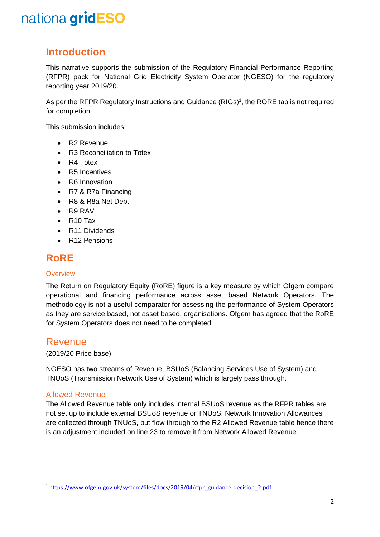## **Introduction**

This narrative supports the submission of the Regulatory Financial Performance Reporting (RFPR) pack for National Grid Electricity System Operator (NGESO) for the regulatory reporting year 2019/20.

As per the RFPR Regulatory Instructions and Guidance (RIGs)<sup>1</sup>, the RORE tab is not required for completion.

This submission includes:

- R2 Revenue
- R3 Reconciliation to Totex
- R4 Totex
- R<sub>5</sub> Incentives
- R6 Innovation
- R7 & R7a Financing
- R8 & R8a Net Debt
- R9 RAV
- R10 Tax
- R11 Dividends
- R12 Pensions

## **RoRE**

#### **Overview**

The Return on Regulatory Equity (RoRE) figure is a key measure by which Ofgem compare operational and financing performance across asset based Network Operators. The methodology is not a useful comparator for assessing the performance of System Operators as they are service based, not asset based, organisations. Ofgem has agreed that the RoRE for System Operators does not need to be completed.

### <span id="page-1-0"></span>Revenue

#### (2019/20 Price base)

NGESO has two streams of Revenue, BSUoS (Balancing Services Use of System) and TNUoS (Transmission Network Use of System) which is largely pass through.

#### <span id="page-1-1"></span>Allowed Revenue

**.** 

The Allowed Revenue table only includes internal BSUoS revenue as the RFPR tables are not set up to include external BSUoS revenue or TNUoS. Network Innovation Allowances are collected through TNUoS, but flow through to the R2 Allowed Revenue table hence there is an adjustment included on line 23 to remove it from Network Allowed Revenue.

<sup>1</sup> [https://www.ofgem.gov.uk/system/files/docs/2019/04/rfpr\\_guidance-decision\\_2.pdf](https://www.ofgem.gov.uk/system/files/docs/2019/04/rfpr_guidance-decision_2.pdf)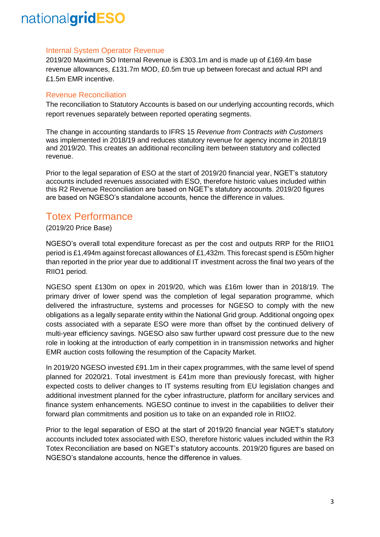#### <span id="page-2-0"></span>Internal System Operator Revenue

2019/20 Maximum SO Internal Revenue is £303.1m and is made up of £169.4m base revenue allowances, £131.7m MOD, £0.5m true up between forecast and actual RPI and £1.5m EMR incentive.

#### <span id="page-2-1"></span>Revenue Reconciliation

The reconciliation to Statutory Accounts is based on our underlying accounting records, which report revenues separately between reported operating segments.

The change in accounting standards to IFRS 15 *Revenue from Contracts with Customers* was implemented in 2018/19 and reduces statutory revenue for agency income in 2018/19 and 2019/20. This creates an additional reconciling item between statutory and collected revenue.

Prior to the legal separation of ESO at the start of 2019/20 financial year, NGET's statutory accounts included revenues associated with ESO, therefore historic values included within this R2 Revenue Reconciliation are based on NGET's statutory accounts. 2019/20 figures are based on NGESO's standalone accounts, hence the difference in values.

### <span id="page-2-2"></span>Totex Performance

#### (2019/20 Price Base)

NGESO's overall total expenditure forecast as per the cost and outputs RRP for the RIIO1 period is £1,494m against forecast allowances of £1,432m. This forecast spend is £50m higher than reported in the prior year due to additional IT investment across the final two years of the RIIO1 period.

NGESO spent £130m on opex in 2019/20, which was £16m lower than in 2018/19. The primary driver of lower spend was the completion of legal separation programme, which delivered the infrastructure, systems and processes for NGESO to comply with the new obligations as a legally separate entity within the National Grid group. Additional ongoing opex costs associated with a separate ESO were more than offset by the continued delivery of multi-year efficiency savings. NGESO also saw further upward cost pressure due to the new role in looking at the introduction of early competition in in transmission networks and higher EMR auction costs following the resumption of the Capacity Market.

In 2019/20 NGESO invested £91.1m in their capex programmes, with the same level of spend planned for 2020/21. Total investment is £41m more than previously forecast, with higher expected costs to deliver changes to IT systems resulting from EU legislation changes and additional investment planned for the cyber infrastructure, platform for ancillary services and finance system enhancements. NGESO continue to invest in the capabilities to deliver their forward plan commitments and position us to take on an expanded role in RIIO2.

Prior to the legal separation of ESO at the start of 2019/20 financial year NGET's statutory accounts included totex associated with ESO, therefore historic values included within the R3 Totex Reconciliation are based on NGET's statutory accounts. 2019/20 figures are based on NGESO's standalone accounts, hence the difference in values.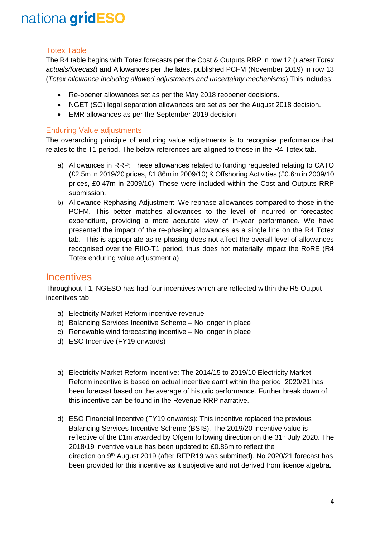### <span id="page-3-0"></span>Totex Table

The R4 table begins with Totex forecasts per the Cost & Outputs RRP in row 12 (*Latest Totex actuals/forecast*) and Allowances per the latest published PCFM (November 2019) in row 13 (*Totex allowance including allowed adjustments and uncertainty mechanisms*) This includes;

- Re-opener allowances set as per the May 2018 reopener decisions.
- NGET (SO) legal separation allowances are set as per the August 2018 decision.
- EMR allowances as per the September 2019 decision

### <span id="page-3-1"></span>Enduring Value adjustments

The overarching principle of enduring value adjustments is to recognise performance that relates to the T1 period. The below references are aligned to those in the R4 Totex tab.

- a) Allowances in RRP: These allowances related to funding requested relating to CATO (£2.5m in 2019/20 prices, £1.86m in 2009/10) & Offshoring Activities (£0.6m in 2009/10 prices, £0.47m in 2009/10). These were included within the Cost and Outputs RRP submission.
- b) Allowance Rephasing Adjustment: We rephase allowances compared to those in the PCFM. This better matches allowances to the level of incurred or forecasted expenditure, providing a more accurate view of in-year performance. We have presented the impact of the re-phasing allowances as a single line on the R4 Totex tab. This is appropriate as re-phasing does not affect the overall level of allowances recognised over the RIIO-T1 period, thus does not materially impact the RoRE (R4 Totex enduring value adjustment a)

## <span id="page-3-2"></span>**Incentives**

Throughout T1, NGESO has had four incentives which are reflected within the R5 Output incentives tab;

- a) Electricity Market Reform incentive revenue
- b) Balancing Services Incentive Scheme No longer in place
- c) Renewable wind forecasting incentive No longer in place
- d) ESO Incentive (FY19 onwards)
- a) Electricity Market Reform Incentive: The 2014/15 to 2019/10 Electricity Market Reform incentive is based on actual incentive earnt within the period, 2020/21 has been forecast based on the average of historic performance. Further break down of this incentive can be found in the Revenue RRP narrative.
- d) ESO Financial Incentive (FY19 onwards): This incentive replaced the previous Balancing Services Incentive Scheme (BSIS). The 2019/20 incentive value is reflective of the £1m awarded by Ofgem following direction on the  $31<sup>st</sup>$  July 2020. The 2018/19 inventive value has been updated to £0.86m to reflect the direction on 9<sup>th</sup> August 2019 (after RFPR19 was submitted). No 2020/21 forecast has been provided for this incentive as it subjective and not derived from licence algebra.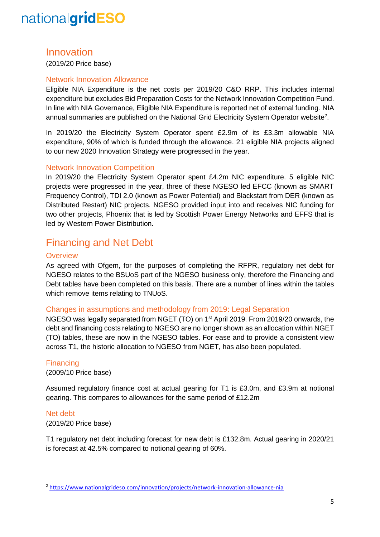### <span id="page-4-0"></span>Innovation

(2019/20 Price base)

#### <span id="page-4-1"></span>Network Innovation Allowance

Eligible NIA Expenditure is the net costs per 2019/20 C&O RRP. This includes internal expenditure but excludes Bid Preparation Costs for the Network Innovation Competition Fund. In line with NIA Governance, Eligible NIA Expenditure is reported net of external funding. NIA annual summaries are published on the National Grid Electricity System Operator website<sup>2</sup>.

In 2019/20 the Electricity System Operator spent £2.9m of its £3.3m allowable NIA expenditure, 90% of which is funded through the allowance. 21 eligible NIA projects aligned to our new 2020 Innovation Strategy were progressed in the year.

#### <span id="page-4-2"></span>Network Innovation Competition

In 2019/20 the Electricity System Operator spent £4.2m NIC expenditure. 5 eligible NIC projects were progressed in the year, three of these NGESO led EFCC (known as SMART Frequency Control), TDI 2.0 (known as Power Potential) and Blackstart from DER (known as Distributed Restart) NIC projects. NGESO provided input into and receives NIC funding for two other projects, Phoenix that is led by Scottish Power Energy Networks and EFFS that is led by Western Power Distribution.

### <span id="page-4-3"></span>Financing and Net Debt

#### <span id="page-4-4"></span>**Overview**

As agreed with Ofgem, for the purposes of completing the RFPR, regulatory net debt for NGESO relates to the BSUoS part of the NGESO business only, therefore the Financing and Debt tables have been completed on this basis. There are a number of lines within the tables which remove items relating to TNUoS.

#### <span id="page-4-5"></span>Changes in assumptions and methodology from 2019: Legal Separation

NGESO was legally separated from NGET (TO) on 1<sup>st</sup> April 2019. From 2019/20 onwards, the debt and financing costs relating to NGESO are no longer shown as an allocation within NGET (TO) tables, these are now in the NGESO tables. For ease and to provide a consistent view across T1, the historic allocation to NGESO from NGET, has also been populated.

#### <span id="page-4-6"></span>**Financing**

(2009/10 Price base)

Assumed regulatory finance cost at actual gearing for T1 is £3.0m, and £3.9m at notional gearing. This compares to allowances for the same period of £12.2m

#### <span id="page-4-7"></span>Net debt

**.** 

(2019/20 Price base)

T1 regulatory net debt including forecast for new debt is £132.8m. Actual gearing in 2020/21 is forecast at 42.5% compared to notional gearing of 60%.

<sup>2</sup> <https://www.nationalgrideso.com/innovation/projects/network-innovation-allowance-nia>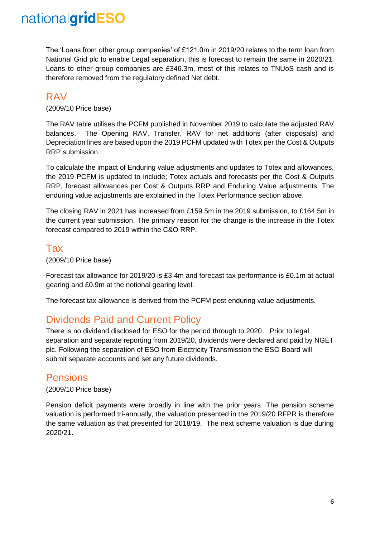The 'Loans from other group companies' of £121.0m in 2019/20 relates to the term loan from National Grid plc to enable Legal separation, this is forecast to remain the same in 2020/21. Loans to other group companies are £346.3m, most of this relates to TNUoS cash and is therefore removed from the regulatory defined Net debt.

## <span id="page-5-0"></span>RAV

(2009/10 Price base)

The RAV table utilises the PCFM published in November 2019 to calculate the adjusted RAV balances. The Opening RAV, Transfer, RAV for net additions (after disposals) and Depreciation lines are based upon the 2019 PCFM updated with Totex per the Cost & Outputs RRP submission.

To calculate the impact of Enduring value adjustments and updates to Totex and allowances, the 2019 PCFM is updated to include; Totex actuals and forecasts per the Cost & Outputs RRP, forecast allowances per Cost & Outputs RRP and Enduring Value adjustments. The enduring value adjustments are explained in the Totex Performance section above.

The closing RAV in 2021 has increased from £159.5m in the 2019 submission, to £164.5m in the current year submission. The primary reason for the change is the increase in the Totex forecast compared to 2019 within the C&O RRP.

### <span id="page-5-1"></span>Tax

(2009/10 Price base)

Forecast tax allowance for 2019/20 is £3.4m and forecast tax performance is £0.1m at actual gearing and £0.9m at the notional gearing level.

The forecast tax allowance is derived from the PCFM post enduring value adjustments.

## <span id="page-5-2"></span>Dividends Paid and Current Policy

There is no dividend disclosed for ESO for the period through to 2020. Prior to legal separation and separate reporting from 2019/20, dividends were declared and paid by NGET plc. Following the separation of ESO from Electricity Transmission the ESO Board will submit separate accounts and set any future dividends.

## <span id="page-5-3"></span>Pensions

#### (2009/10 Price base)

Pension deficit payments were broadly in line with the prior years. The pension scheme valuation is performed tri-annually, the valuation presented in the 2019/20 RFPR is therefore the same valuation as that presented for 2018/19. The next scheme valuation is due during 2020/21.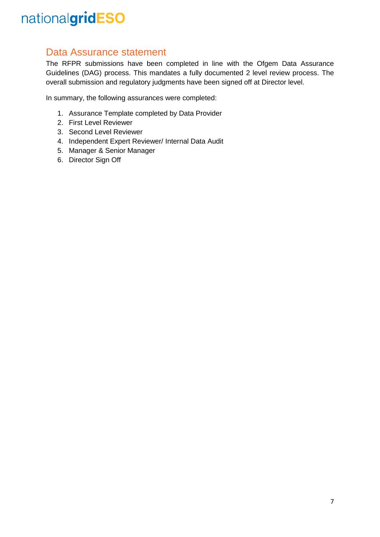## <span id="page-6-0"></span>Data Assurance statement

The RFPR submissions have been completed in line with the Ofgem Data Assurance Guidelines (DAG) process. This mandates a fully documented 2 level review process. The overall submission and regulatory judgments have been signed off at Director level.

In summary, the following assurances were completed:

- 1. Assurance Template completed by Data Provider
- 2. First Level Reviewer
- 3. Second Level Reviewer
- 4. Independent Expert Reviewer/ Internal Data Audit
- 5. Manager & Senior Manager
- 6. Director Sign Off